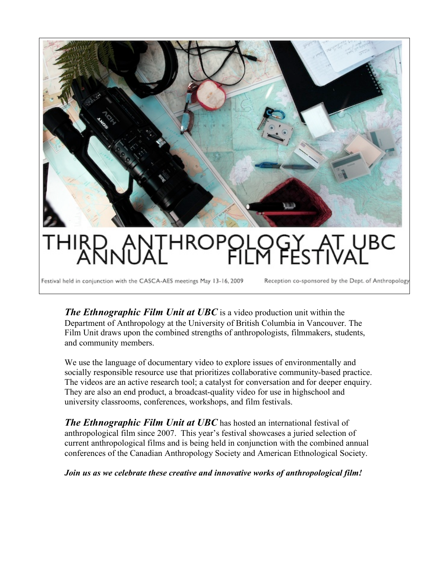

Festival held in conjunction with the CASCA-AES meetings May 13-16, 2009

Reception co-sponsored by the Dept. of Anthropology

*The Ethnographic Film Unit at UBC* is a video production unit within the Department of Anthropology at the University of British Columbia in Vancouver. The Film Unit draws upon the combined strengths of anthropologists, filmmakers, students, and community members.

We use the language of documentary video to explore issues of environmentally and socially responsible resource use that prioritizes collaborative community-based practice. The videos are an active research tool; a catalyst for conversation and for deeper enquiry. They are also an end product, a broadcast-quality video for use in highschool and university classrooms, conferences, workshops, and film festivals.

*The Ethnographic Film Unit at UBC* has hosted an international festival of anthropological film since 2007. This year's festival showcases a juried selection of current anthropological films and is being held in conjunction with the combined annual conferences of the Canadian Anthropology Society and American Ethnological Society.

*Join us as we celebrate these creative and innovative works of anthropological film!*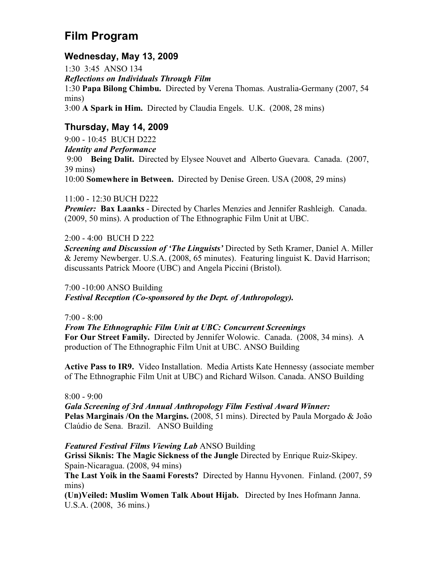# **Film Program**

### **Wednesday, May 13, 2009**

1:30 3:45 ANSO 134 *Reflections on Individuals Through Film* 1:30 **Papa Bilong Chimbu.** Directed by Verena Thomas. Australia-Germany (2007, 54 mins) 3:00 **A Spark in Him.** Directed by Claudia Engels. U.K. (2008, 28 mins)

## **Thursday, May 14, 2009**

9:00 - 10:45 BUCH D222 *Identity and Performance* 9:00 **Being Dalit.** Directed by Elysee Nouvet and Alberto Guevara. Canada. (2007, 39 mins) 10:00 **Somewhere in Between.** Directed by Denise Green. USA (2008, 29 mins)

#### 11:00 - 12:30 BUCH D222

*Premier:* **Bax Laanks** - Directed by Charles Menzies and Jennifer Rashleigh. Canada. (2009, 50 mins). A production of The Ethnographic Film Unit at UBC.

#### 2:00 - 4:00 BUCH D 222

*Screening and Discussion of 'The Linguists'* Directed by Seth Kramer, Daniel A. Miller & Jeremy Newberger. U.S.A. (2008, 65 minutes). Featuring linguist K. David Harrison; discussants Patrick Moore (UBC) and Angela Piccini (Bristol).

7:00 -10:00 ANSO Building *Festival Reception (Co-sponsored by the Dept. of Anthropology).*

7:00 - 8:00

*From The Ethnographic Film Unit at UBC: Concurrent Screenings* **For Our Street Family.** Directed by Jennifer Wolowic. Canada. (2008, 34 mins). A production of The Ethnographic Film Unit at UBC. ANSO Building

**Active Pass to IR9.** Video Installation. Media Artists Kate Hennessy (associate member of The Ethnographic Film Unit at UBC) and Richard Wilson. Canada. ANSO Building

#### 8:00 - 9:00

*Gala Screening of 3rd Annual Anthropology Film Festival Award Winner:* **Pelas Marginais /On the Margins.** (2008, 51 mins). Directed by Paula Morgado & João Claúdio de Sena. Brazil. ANSO Building

#### *Featured Festival Films Viewing Lab* ANSO Building

**Grissi Siknis: The Magic Sickness of the Jungle** Directed by Enrique Ruiz-Skipey. Spain-Nicaragua. (2008, 94 mins)

**The Last Yoik in the Saami Forests?** Directed by Hannu Hyvonen. Finland. (2007, 59 mins)

**(Un)Veiled: Muslim Women Talk About Hijab.** Directed by Ines Hofmann Janna. U.S.A. (2008, 36 mins.)